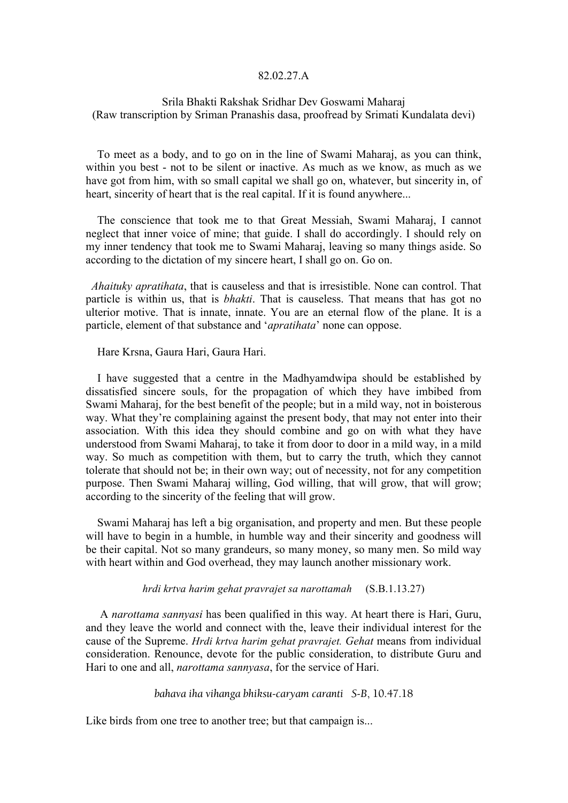#### 82.02.27.A

# Srila Bhakti Rakshak Sridhar Dev Goswami Maharaj (Raw transcription by Sriman Pranashis dasa, proofread by Srimati Kundalata devi)

 To meet as a body, and to go on in the line of Swami Maharaj, as you can think, within you best - not to be silent or inactive. As much as we know, as much as we have got from him, with so small capital we shall go on, whatever, but sincerity in, of heart, sincerity of heart that is the real capital. If it is found anywhere...

 The conscience that took me to that Great Messiah, Swami Maharaj, I cannot neglect that inner voice of mine; that guide. I shall do accordingly. I should rely on my inner tendency that took me to Swami Maharaj, leaving so many things aside. So according to the dictation of my sincere heart, I shall go on. Go on.

 *Ahaituky apratihata*, that is causeless and that is irresistible. None can control. That particle is within us, that is *bhakti*. That is causeless. That means that has got no ulterior motive. That is innate, innate. You are an eternal flow of the plane. It is a particle, element of that substance and '*apratihata*' none can oppose.

Hare Krsna, Gaura Hari, Gaura Hari.

 I have suggested that a centre in the Madhyamdwipa should be established by dissatisfied sincere souls, for the propagation of which they have imbibed from Swami Maharaj, for the best benefit of the people; but in a mild way, not in boisterous way. What they're complaining against the present body, that may not enter into their association. With this idea they should combine and go on with what they have understood from Swami Maharaj, to take it from door to door in a mild way, in a mild way. So much as competition with them, but to carry the truth, which they cannot tolerate that should not be; in their own way; out of necessity, not for any competition purpose. Then Swami Maharaj willing, God willing, that will grow, that will grow; according to the sincerity of the feeling that will grow.

 Swami Maharaj has left a big organisation, and property and men. But these people will have to begin in a humble, in humble way and their sincerity and goodness will be their capital. Not so many grandeurs, so many money, so many men. So mild way with heart within and God overhead, they may launch another missionary work.

*hrdi krtva harim gehat pravrajet sa narottamah* (S.B.1.13.27)

 A *narottama sannyasi* has been qualified in this way. At heart there is Hari, Guru, and they leave the world and connect with the, leave their individual interest for the cause of the Supreme. *Hrdi krtva harim gehat pravrajet. Gehat* means from individual consideration. Renounce, devote for the public consideration, to distribute Guru and Hari to one and all, *narottama sannyasa*, for the service of Hari.

*bahava iha vihanga bhiksu-caryam caranti S-B*, 10.47.18

Like birds from one tree to another tree; but that campaign is...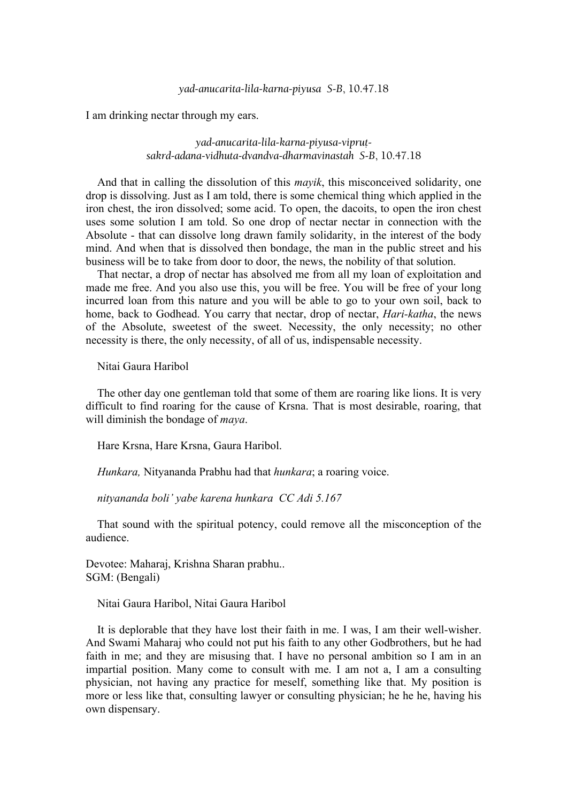### *yad-anucarita-lila-karna-piyusa S-B*, 10.47.18

I am drinking nectar through my ears.

yad-anucarita-lila-karna-piyusa-viprut*sakrd-adana-vidhuta-dvandva-dharmavinastah S-B*, 10.47.18

 And that in calling the dissolution of this *mayik*, this misconceived solidarity, one drop is dissolving. Just as I am told, there is some chemical thing which applied in the iron chest, the iron dissolved; some acid. To open, the dacoits, to open the iron chest uses some solution I am told. So one drop of nectar nectar in connection with the Absolute - that can dissolve long drawn family solidarity, in the interest of the body mind. And when that is dissolved then bondage, the man in the public street and his business will be to take from door to door, the news, the nobility of that solution.

 That nectar, a drop of nectar has absolved me from all my loan of exploitation and made me free. And you also use this, you will be free. You will be free of your long incurred loan from this nature and you will be able to go to your own soil, back to home, back to Godhead. You carry that nectar, drop of nectar, *Hari-katha*, the news of the Absolute, sweetest of the sweet. Necessity, the only necessity; no other necessity is there, the only necessity, of all of us, indispensable necessity.

Nitai Gaura Haribol

 The other day one gentleman told that some of them are roaring like lions. It is very difficult to find roaring for the cause of Krsna. That is most desirable, roaring, that will diminish the bondage of *maya*.

Hare Krsna, Hare Krsna, Gaura Haribol.

 *Hunkara,* Nityananda Prabhu had that *hunkara*; a roaring voice.

 *nityananda boli' yabe karena hunkara CC Adi 5.167*

 That sound with the spiritual potency, could remove all the misconception of the audience.

Devotee: Maharaj, Krishna Sharan prabhu.. SGM: (Bengali)

Nitai Gaura Haribol, Nitai Gaura Haribol

 It is deplorable that they have lost their faith in me. I was, I am their well-wisher. And Swami Maharaj who could not put his faith to any other Godbrothers, but he had faith in me; and they are misusing that. I have no personal ambition so I am in an impartial position. Many come to consult with me. I am not a, I am a consulting physician, not having any practice for meself, something like that. My position is more or less like that, consulting lawyer or consulting physician; he he he, having his own dispensary.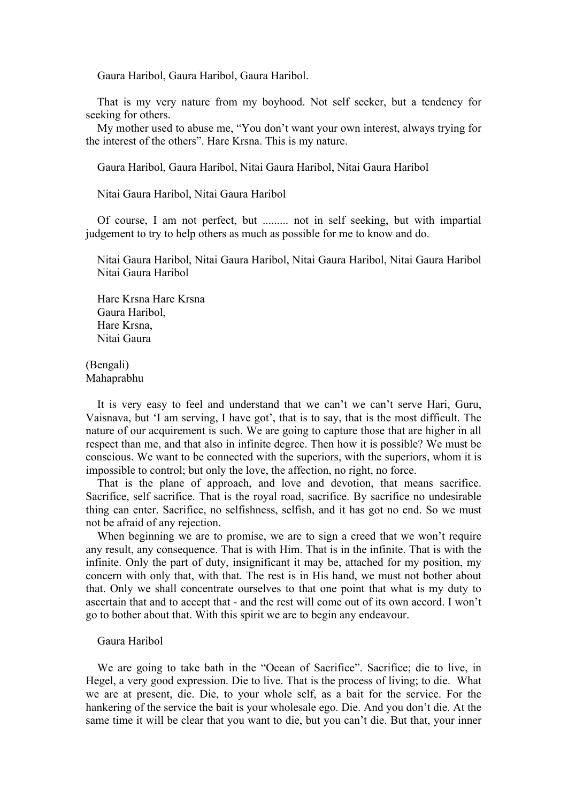Gaura Haribol, Gaura Haribol, Gaura Haribol.

 That is my very nature from my boyhood. Not self seeker, but a tendency for seeking for others.

 My mother used to abuse me, "You don't want your own interest, always trying for the interest of the others". Hare Krsna. This is my nature.

Gaura Haribol, Gaura Haribol, Nitai Gaura Haribol, Nitai Gaura Haribol

Nitai Gaura Haribol, Nitai Gaura Haribol

 Of course, I am not perfect, but ......... not in self seeking, but with impartial judgement to try to help others as much as possible for me to know and do.

Nitai Gaura Haribol, Nitai Gaura Haribol, Nitai Gaura Haribol, Nitai Gaura Haribol Nitai Gaura Haribol

 Hare Krsna Hare Krsna Gaura Haribol, Hare Krsna, Nitai Gaura

(Bengali) Mahaprabhu

 It is very easy to feel and understand that we can't we can't serve Hari, Guru, Vaisnava, but 'I am serving, I have got', that is to say, that is the most difficult. The nature of our acquirement is such. We are going to capture those that are higher in all respect than me, and that also in infinite degree. Then how it is possible? We must be conscious. We want to be connected with the superiors, with the superiors, whom it is impossible to control; but only the love, the affection, no right, no force.

 That is the plane of approach, and love and devotion, that means sacrifice. Sacrifice, self sacrifice. That is the royal road, sacrifice. By sacrifice no undesirable thing can enter. Sacrifice, no selfishness, selfish, and it has got no end. So we must not be afraid of any rejection.

When beginning we are to promise, we are to sign a creed that we won't require any result, any consequence. That is with Him. That is in the infinite. That is with the infinite. Only the part of duty, insignificant it may be, attached for my position, my concern with only that, with that. The rest is in His hand, we must not bother about that. Only we shall concentrate ourselves to that one point that what is my duty to ascertain that and to accept that - and the rest will come out of its own accord. I won't go to bother about that. With this spirit we are to begin any endeavour.

### Gaura Haribol

 We are going to take bath in the "Ocean of Sacrifice". Sacrifice; die to live, in Hegel, a very good expression. Die to live. That is the process of living; to die. What we are at present, die. Die, to your whole self, as a bait for the service. For the hankering of the service the bait is your wholesale ego. Die. And you don't die. At the same time it will be clear that you want to die, but you can't die. But that, your inner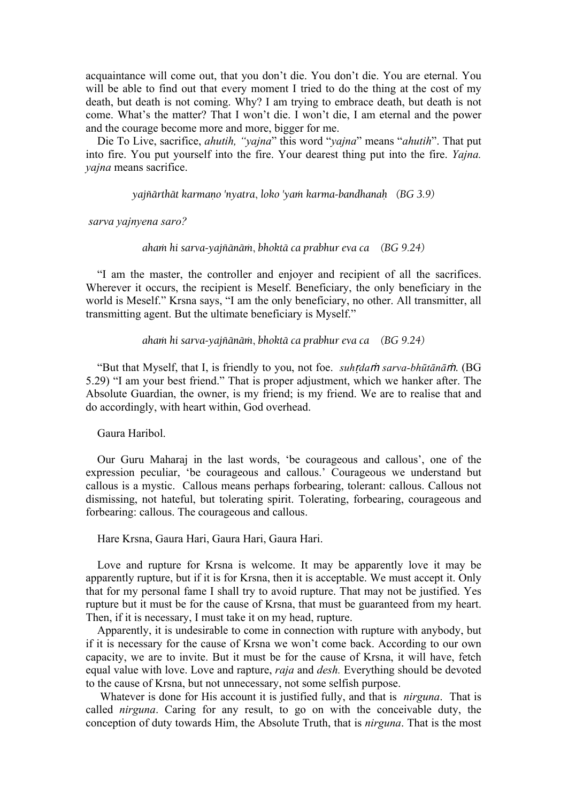acquaintance will come out, that you don't die. You don't die. You are eternal. You will be able to find out that every moment I tried to do the thing at the cost of my death, but death is not coming. Why? I am trying to embrace death, but death is not come. What's the matter? That I won't die. I won't die, I am eternal and the power and the courage become more and more, bigger for me.

 Die To Live, sacrifice, *ahutih, "yajna*" this word "*yajna*" means "*ahutih*". That put into fire. You put yourself into the fire. Your dearest thing put into the fire. *Yajna. yajna* means sacrifice.

*yajïärthät karmaëo 'nyatra*, *loko 'yaà karma-bandhanaù (BG 3.9)*

#### *sarva yajnyena saro?*

#### *ahaà hi sarva-yajïänäà*, *bhoktä ca prabhur eva ca (BG 9.24)*

 "I am the master, the controller and enjoyer and recipient of all the sacrifices. Wherever it occurs, the recipient is Meself. Beneficiary, the only beneficiary in the world is Meself." Krsna says, "I am the only beneficiary, no other. All transmitter, all transmitting agent. But the ultimate beneficiary is Myself."

#### *ahaà hi sarva-yajïänäà*, *bhoktä ca prabhur eva ca (BG 9.24)*

 "But that Myself, that I, is friendly to you, not foe. *suh*ṛ*da*<sup>ṁ</sup> *sarva-bhūtānā*ṁ. (BG 5.29) "I am your best friend." That is proper adjustment, which we hanker after. The Absolute Guardian, the owner, is my friend; is my friend. We are to realise that and do accordingly, with heart within, God overhead.

### Gaura Haribol.

 Our Guru Maharaj in the last words, 'be courageous and callous', one of the expression peculiar, 'be courageous and callous.' Courageous we understand but callous is a mystic. Callous means perhaps forbearing, tolerant: callous. Callous not dismissing, not hateful, but tolerating spirit. Tolerating, forbearing, courageous and forbearing: callous. The courageous and callous.

### Hare Krsna, Gaura Hari, Gaura Hari, Gaura Hari.

 Love and rupture for Krsna is welcome. It may be apparently love it may be apparently rupture, but if it is for Krsna, then it is acceptable. We must accept it. Only that for my personal fame I shall try to avoid rupture. That may not be justified. Yes rupture but it must be for the cause of Krsna, that must be guaranteed from my heart. Then, if it is necessary, I must take it on my head, rupture.

 Apparently, it is undesirable to come in connection with rupture with anybody, but if it is necessary for the cause of Krsna we won't come back. According to our own capacity, we are to invite. But it must be for the cause of Krsna, it will have, fetch equal value with love. Love and rapture, *raja* and *desh.* Everything should be devoted to the cause of Krsna, but not unnecessary, not some selfish purpose.

 Whatever is done for His account it is justified fully, and that is *nirguna*. That is called *nirguna*. Caring for any result, to go on with the conceivable duty, the conception of duty towards Him, the Absolute Truth, that is *nirguna*. That is the most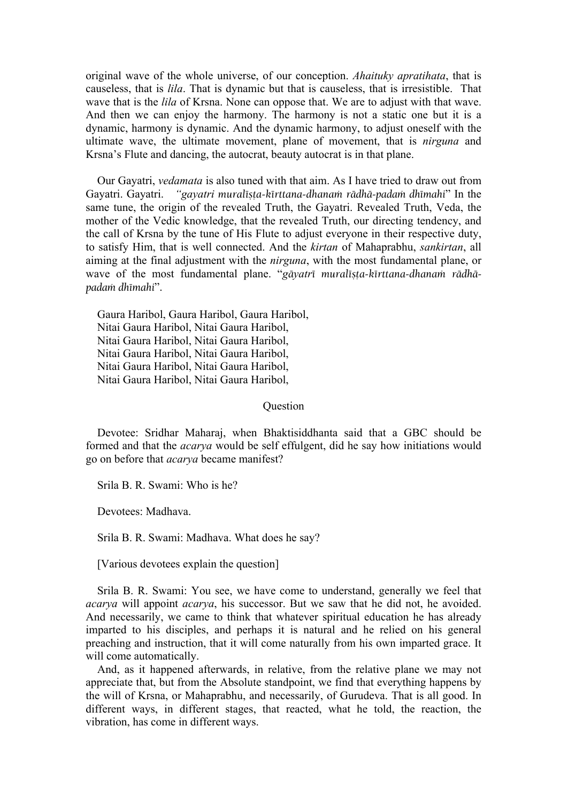original wave of the whole universe, of our conception. *Ahaituky apratihata*, that is causeless, that is *lila*. That is dynamic but that is causeless, that is irresistible. That wave that is the *lila* of Krsna. None can oppose that. We are to adjust with that wave. And then we can enjoy the harmony. The harmony is not a static one but it is a dynamic, harmony is dynamic. And the dynamic harmony, to adjust oneself with the ultimate wave, the ultimate movement, plane of movement, that is *nirguna* and Krsna's Flute and dancing, the autocrat, beauty autocrat is in that plane.

 Our Gayatri, *vedamata* is also tuned with that aim. As I have tried to draw out from Gayatri. Gayatri. *"gayatri muralista-kirttana-dhanam rädhā-padam dhimahi*" In the same tune, the origin of the revealed Truth, the Gayatri. Revealed Truth, Veda, the mother of the Vedic knowledge, that the revealed Truth, our directing tendency, and the call of Krsna by the tune of His Flute to adjust everyone in their respective duty, to satisfy Him, that is well connected. And the *kirtan* of Mahaprabhu, *sankirtan*, all aiming at the final adjustment with the *nirguna*, with the most fundamental plane, or wave of the most fundamental plane. "gāyatrī muralīsta-kīrttana-dhanam rādhā*padaà dhémahi*".

 Gaura Haribol, Gaura Haribol, Gaura Haribol, Nitai Gaura Haribol, Nitai Gaura Haribol, Nitai Gaura Haribol, Nitai Gaura Haribol, Nitai Gaura Haribol, Nitai Gaura Haribol, Nitai Gaura Haribol, Nitai Gaura Haribol, Nitai Gaura Haribol, Nitai Gaura Haribol,

#### **Ouestion**

 Devotee: Sridhar Maharaj, when Bhaktisiddhanta said that a GBC should be formed and that the *acarya* would be self effulgent, did he say how initiations would go on before that *acarya* became manifest?

Srila B. R. Swami: Who is he?

Devotees: Madhava.

Srila B. R. Swami: Madhava. What does he say?

[Various devotees explain the question]

 Srila B. R. Swami: You see, we have come to understand, generally we feel that *acarya* will appoint *acarya*, his successor. But we saw that he did not, he avoided. And necessarily, we came to think that whatever spiritual education he has already imparted to his disciples, and perhaps it is natural and he relied on his general preaching and instruction, that it will come naturally from his own imparted grace. It will come automatically.

 And, as it happened afterwards, in relative, from the relative plane we may not appreciate that, but from the Absolute standpoint, we find that everything happens by the will of Krsna, or Mahaprabhu, and necessarily, of Gurudeva. That is all good. In different ways, in different stages, that reacted, what he told, the reaction, the vibration, has come in different ways.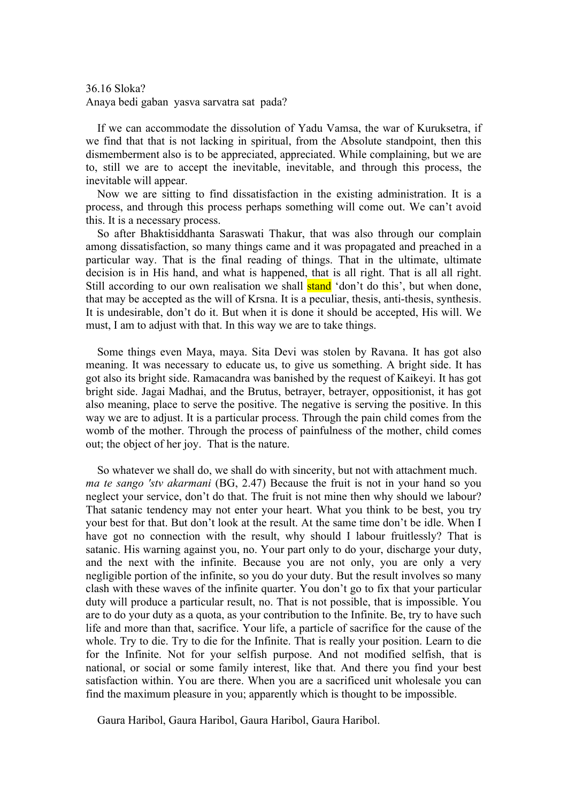36.16 Sloka? Anaya bedi gaban yasva sarvatra sat pada?

 If we can accommodate the dissolution of Yadu Vamsa, the war of Kuruksetra, if we find that that is not lacking in spiritual, from the Absolute standpoint, then this dismemberment also is to be appreciated, appreciated. While complaining, but we are to, still we are to accept the inevitable, inevitable, and through this process, the inevitable will appear.

 Now we are sitting to find dissatisfaction in the existing administration. It is a process, and through this process perhaps something will come out. We can't avoid this. It is a necessary process.

 So after Bhaktisiddhanta Saraswati Thakur, that was also through our complain among dissatisfaction, so many things came and it was propagated and preached in a particular way. That is the final reading of things. That in the ultimate, ultimate decision is in His hand, and what is happened, that is all right. That is all all right. Still according to our own realisation we shall **stand** 'don't do this', but when done, that may be accepted as the will of Krsna. It is a peculiar, thesis, anti-thesis, synthesis. It is undesirable, don't do it. But when it is done it should be accepted, His will. We must, I am to adjust with that. In this way we are to take things.

 Some things even Maya, maya. Sita Devi was stolen by Ravana. It has got also meaning. It was necessary to educate us, to give us something. A bright side. It has got also its bright side. Ramacandra was banished by the request of Kaikeyi. It has got bright side. Jagai Madhai, and the Brutus, betrayer, betrayer, oppositionist, it has got also meaning, place to serve the positive. The negative is serving the positive. In this way we are to adjust. It is a particular process. Through the pain child comes from the womb of the mother. Through the process of painfulness of the mother, child comes out; the object of her joy. That is the nature.

 So whatever we shall do, we shall do with sincerity, but not with attachment much. *ma te sango 'stv akarmani* (BG, 2.47) Because the fruit is not in your hand so you neglect your service, don't do that. The fruit is not mine then why should we labour? That satanic tendency may not enter your heart. What you think to be best, you try your best for that. But don't look at the result. At the same time don't be idle. When I have got no connection with the result, why should I labour fruitlessly? That is satanic. His warning against you, no. Your part only to do your, discharge your duty, and the next with the infinite. Because you are not only, you are only a very negligible portion of the infinite, so you do your duty. But the result involves so many clash with these waves of the infinite quarter. You don't go to fix that your particular duty will produce a particular result, no. That is not possible, that is impossible. You are to do your duty as a quota, as your contribution to the Infinite. Be, try to have such life and more than that, sacrifice. Your life, a particle of sacrifice for the cause of the whole. Try to die. Try to die for the Infinite. That is really your position. Learn to die for the Infinite. Not for your selfish purpose. And not modified selfish, that is national, or social or some family interest, like that. And there you find your best satisfaction within. You are there. When you are a sacrificed unit wholesale you can find the maximum pleasure in you; apparently which is thought to be impossible.

Gaura Haribol, Gaura Haribol, Gaura Haribol, Gaura Haribol.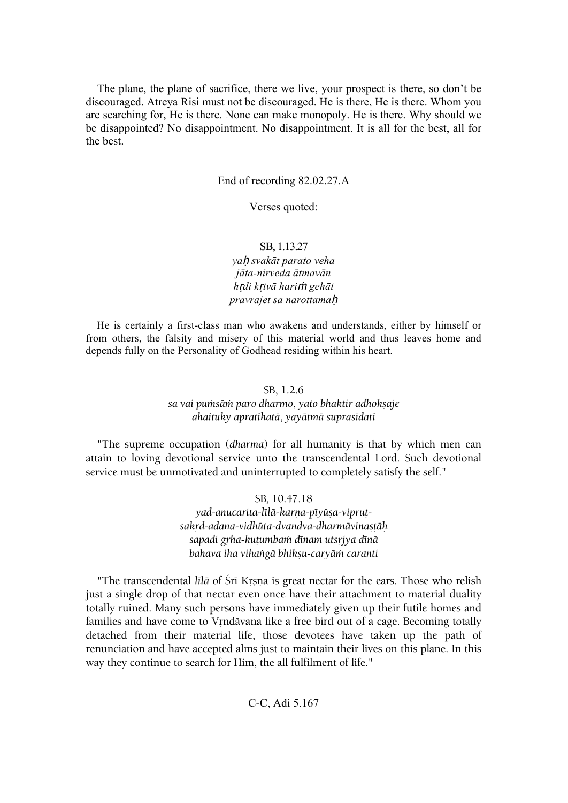The plane, the plane of sacrifice, there we live, your prospect is there, so don't be discouraged. Atreya Risi must not be discouraged. He is there, He is there. Whom you are searching for, He is there. None can make monopoly. He is there. Why should we be disappointed? No disappointment. No disappointment. It is all for the best, all for the best.

End of recording 82.02.27.A

Verses quoted:

# SB, 1.13.27

*ya*ḥ *svakāt parato veha jāta-nirveda ātmavān h*ṛ*di k*ṛ*tvā hari*ṁ *gehāt pravrajet sa narottama*ḥ

 He is certainly a first-class man who awakens and understands, either by himself or from others, the falsity and misery of this material world and thus leaves home and depends fully on the Personality of Godhead residing within his heart.

#### SB, 1.2.6

*sa vai puàsäà paro dharmo*, *yato bhaktir adhokñaje ahaituky apratihatä*, *yayätmä suprasédati*

 "The supreme occupation (*dharma*) for all humanity is that by which men can attain to loving devotional service unto the transcendental Lord. Such devotional service must be unmotivated and uninterrupted to completely satisfy the self."

### SB*,* 10.47.18

yad-anucarita-līlā-karņa-pīyūsa-viprut*sakåd-adana-vidhüta-dvandva-dharmävinañöäù sapadi gåha-kuöumbaà dénam utsåjya dénä bahava iha vihaìgä bhikñu-caryäà caranti*

"The transcendental *līlā* of Śrī Krsna is great nectar for the ears. Those who relish just a single drop of that nectar even once have their attachment to material duality totally ruined. Many such persons have immediately given up their futile homes and families and have come to Vrndävana like a free bird out of a cage. Becoming totally detached from their material life, those devotees have taken up the path of renunciation and have accepted alms just to maintain their lives on this plane. In this way they continue to search for Him, the all fulfilment of life."